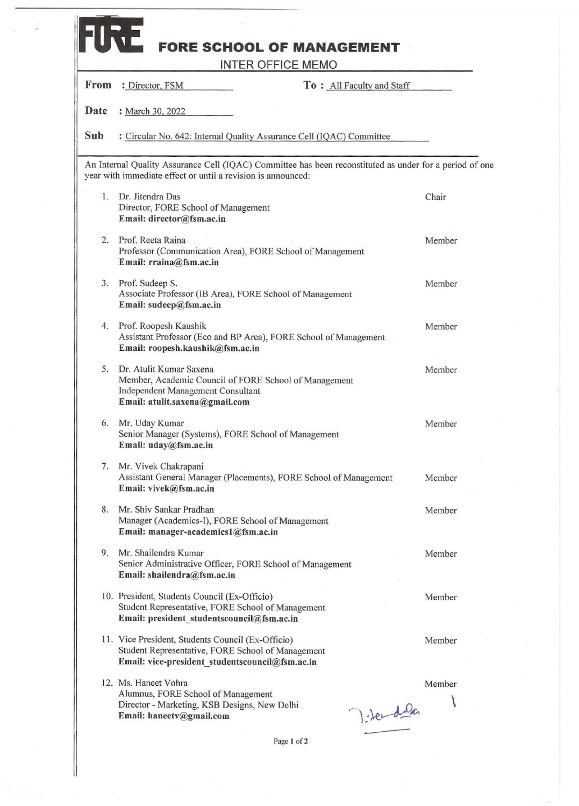| Date<br>: March 30, 2022<br>Sub<br>: Circular No. 642: Internal Quality Assurance Cell (IQAC) Committee<br>An Internal Quality Assurance Cell (IQAC) Committee has been reconstituted as under for a period of one<br>year with immediate effect or until a revision is announced:<br>Dr. Jitendra Das<br>1.<br>Chair<br>Director, FORE School of Management<br>Email: director@fsm.ac.in<br>Prof. Reeta Raina<br>2.<br>Member<br>Professor (Communication Area), FORE School of Management<br>Email: rraina@fsm.ac.in<br>3. Prof. Sudeep S.<br>Member<br>Associate Professor (IB Area), FORE School of Management<br>Email: sudeep@fsm.ac.in<br>Prof. Roopesh Kaushik<br>4.<br>Member<br>Assistant Professor (Eco and BP Area), FORE School of Management<br>Email: roopesh.kaushik@fsm.ac.in<br>5.<br>Dr. Atulit Kumar Saxena<br>Member<br>Member, Academic Council of FORE School of Management<br>Independent Management Consultant<br>Email: atulit.saxena@gmail.com<br>Mr. Uday Kumar<br>6.<br>Member<br>Senior Manager (Systems), FORE School of Management<br>Email: uday@fsm.ac.in<br>Mr. Vivek Chakrapani<br>7.<br>Assistant General Manager (Placements), FORE School of Management<br>Member<br>Email: vivek@fsm.ac.in<br>Mr. Shiv Sankar Pradhan<br>8.<br>Member<br>Manager (Academics-I), FORE School of Management<br>Email: manager-academics1@fsm.ac.in<br>Mr. Shailendra Kumar<br>9.5<br>Member<br>Senior Administrative Officer, FORE School of Management<br>Email: shailendra@fsm.ac.in<br>10. President, Students Council (Ex-Officio)<br>Member<br>Student Representative, FORE School of Management<br>Email: president studentscouncil@fsm.ac.in | From | : Director, FSM<br>To: All Faculty and Staff      |        |
|---------------------------------------------------------------------------------------------------------------------------------------------------------------------------------------------------------------------------------------------------------------------------------------------------------------------------------------------------------------------------------------------------------------------------------------------------------------------------------------------------------------------------------------------------------------------------------------------------------------------------------------------------------------------------------------------------------------------------------------------------------------------------------------------------------------------------------------------------------------------------------------------------------------------------------------------------------------------------------------------------------------------------------------------------------------------------------------------------------------------------------------------------------------------------------------------------------------------------------------------------------------------------------------------------------------------------------------------------------------------------------------------------------------------------------------------------------------------------------------------------------------------------------------------------------------------------------------------------------------------------------------------------------------------------|------|---------------------------------------------------|--------|
|                                                                                                                                                                                                                                                                                                                                                                                                                                                                                                                                                                                                                                                                                                                                                                                                                                                                                                                                                                                                                                                                                                                                                                                                                                                                                                                                                                                                                                                                                                                                                                                                                                                                           |      |                                                   |        |
|                                                                                                                                                                                                                                                                                                                                                                                                                                                                                                                                                                                                                                                                                                                                                                                                                                                                                                                                                                                                                                                                                                                                                                                                                                                                                                                                                                                                                                                                                                                                                                                                                                                                           |      |                                                   |        |
|                                                                                                                                                                                                                                                                                                                                                                                                                                                                                                                                                                                                                                                                                                                                                                                                                                                                                                                                                                                                                                                                                                                                                                                                                                                                                                                                                                                                                                                                                                                                                                                                                                                                           |      |                                                   |        |
|                                                                                                                                                                                                                                                                                                                                                                                                                                                                                                                                                                                                                                                                                                                                                                                                                                                                                                                                                                                                                                                                                                                                                                                                                                                                                                                                                                                                                                                                                                                                                                                                                                                                           |      |                                                   |        |
|                                                                                                                                                                                                                                                                                                                                                                                                                                                                                                                                                                                                                                                                                                                                                                                                                                                                                                                                                                                                                                                                                                                                                                                                                                                                                                                                                                                                                                                                                                                                                                                                                                                                           |      |                                                   |        |
|                                                                                                                                                                                                                                                                                                                                                                                                                                                                                                                                                                                                                                                                                                                                                                                                                                                                                                                                                                                                                                                                                                                                                                                                                                                                                                                                                                                                                                                                                                                                                                                                                                                                           |      |                                                   |        |
|                                                                                                                                                                                                                                                                                                                                                                                                                                                                                                                                                                                                                                                                                                                                                                                                                                                                                                                                                                                                                                                                                                                                                                                                                                                                                                                                                                                                                                                                                                                                                                                                                                                                           |      |                                                   |        |
|                                                                                                                                                                                                                                                                                                                                                                                                                                                                                                                                                                                                                                                                                                                                                                                                                                                                                                                                                                                                                                                                                                                                                                                                                                                                                                                                                                                                                                                                                                                                                                                                                                                                           |      |                                                   |        |
|                                                                                                                                                                                                                                                                                                                                                                                                                                                                                                                                                                                                                                                                                                                                                                                                                                                                                                                                                                                                                                                                                                                                                                                                                                                                                                                                                                                                                                                                                                                                                                                                                                                                           |      |                                                   |        |
|                                                                                                                                                                                                                                                                                                                                                                                                                                                                                                                                                                                                                                                                                                                                                                                                                                                                                                                                                                                                                                                                                                                                                                                                                                                                                                                                                                                                                                                                                                                                                                                                                                                                           |      |                                                   |        |
|                                                                                                                                                                                                                                                                                                                                                                                                                                                                                                                                                                                                                                                                                                                                                                                                                                                                                                                                                                                                                                                                                                                                                                                                                                                                                                                                                                                                                                                                                                                                                                                                                                                                           |      |                                                   |        |
|                                                                                                                                                                                                                                                                                                                                                                                                                                                                                                                                                                                                                                                                                                                                                                                                                                                                                                                                                                                                                                                                                                                                                                                                                                                                                                                                                                                                                                                                                                                                                                                                                                                                           |      |                                                   |        |
|                                                                                                                                                                                                                                                                                                                                                                                                                                                                                                                                                                                                                                                                                                                                                                                                                                                                                                                                                                                                                                                                                                                                                                                                                                                                                                                                                                                                                                                                                                                                                                                                                                                                           |      |                                                   |        |
| Student Representative, FORE School of Management<br>Email: vice-president studentscouncil@fsm.ac.in                                                                                                                                                                                                                                                                                                                                                                                                                                                                                                                                                                                                                                                                                                                                                                                                                                                                                                                                                                                                                                                                                                                                                                                                                                                                                                                                                                                                                                                                                                                                                                      |      | 11. Vice President, Students Council (Ex-Officio) | Member |

**Page I of2**